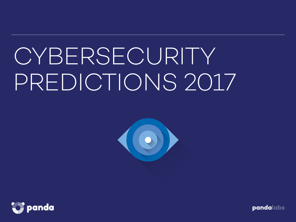# CYBERSECURITY PREDICTIONS 2017



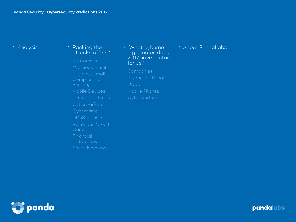#### 1. Analysis 2. Ranking the top attacks of 2016

Ransomware

Malicious email

Business Email

Internet of things

DDoS Attacks

POS's and Credit **Cards** 

Institutions

Social Networks

3. What cybernetic nightmares does 2017 have in store for us?

Internet of Things DDoS

4. About PandaLabs

panda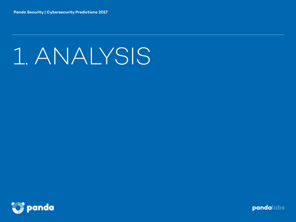# 1. ANALYSIS

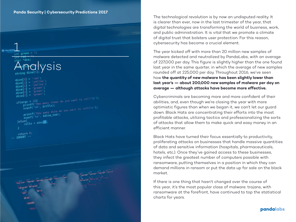int green =  $\frac{1}{2}$ Analysis dicel dicel  $discel$  $\text{dice}[\text{3}] = \text{green}$  $\text{dice} = \text{green}$  $\text{dice}[\frac{1}{5}] = \frac{1}{9}$  $\arg c < 2$ }{<br>  $\arg c < 2$ }{<br>  $\arg c \frac{1}{10}$ }  $\arg c$ <br>  $\arg c$  = 2){<br>  $\arg c$  = 2){<br>  $\arg c$  = 2){<br>  $\arg c$  = 2){ if(argc <  $2$ ){ printf("How many<br>scanf("%d", &rolls); scanf("%d", &rolls);<br>printf("How many dice do you want to roll?\n");<br>printf("How many dice do you want to roll?\n"); printf("How many order");<br>scanf("%d", &dice\_num); }else{ se{<br>rolls = atoi return 0; -- INSERT --

The technological revolution is by now an undisputed reality. It is clearer than ever, now in the last trimester of the year, that digital technologies are transforming the world of business, work, and public administration. It is vital that we promote a climate of digital trust that bolsters user protection. For this reason, cybersecurity has become a crucial element.

The year kicked off with more than 20 million new samples of malware detected and neutralized by PandaLabs, with an average of 227,000 per day. This figure is slightly higher than the one found last year in the same quarter, in which the average of new samples rounded off at 225,000 per day. Throughout 2016, we've seen how **the quantity of new malware has been slightly lower than last year's — about 200,000 new samples of malware per day on average — although attacks have become more effective.** 

Cybercriminals are becoming more and more confident of their abilities, and, even though we're closing the year with more optimistic figures than when we began it, we can't let our guard down. Black Hats are concentrating their efforts into the most profitable attacks, utilizing tactics and professionalizing the sorts of attacks that allow them to make quick and easy money in an efficient manner.

Black Hats have turned their focus essentially to productivity, proliferating attacks on businesses that handle massive quantities of data and sensitive information (hospitals, pharmaceuticals, hotels, etc.). Once they've gained access to these businesses, they infect the greatest number of computers possible with ransomware, putting themselves in a position in which they can demand millions in ransom or put the data up for sale on the black market.

If there is one thing that hasn't changed over the course of this year, it's the most popular class of malware: trojans, with ransomware at the forefront, have continued to top the statistical charts for years.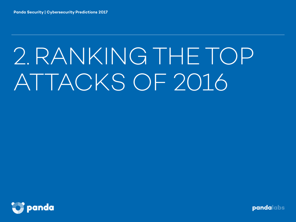# 2.RANKING THE TOP ATTACKS OF 2016

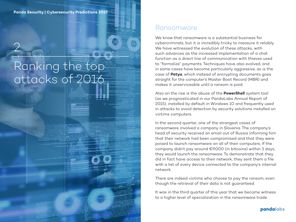# Ranking the top attacks of 2016

2

#### Ransomware

We know that ransomware is a substantial business for cybercriminals, but it is incredibly tricky to measure it reliably. We have witnessed the evolution of these attacks, with such advances as the increased implementation of a chat function as a direct line of communication with thieves used to "formalize" payments. Techniques have also evolved, and in some cases have become particularly aggressive, as is the case of **Petya**, which instead of encrypting documents goes straight for the computer's Master Boot Record (MBR) and makes it unserviceable until a ransom is paid.

Also on the rise is the abuse of the **PowerShell** system tool (as we prognosticated in our PandaLabs Annual Report of 2015), installed by default in Windows 10 and frequently used in attacks to avoid detection by security solutions installed on victims computers.

In the second quarter, one of the strangest cases of ransomware involved a company in Slovenia. The company's head of security received an email out of Russia informing him that their network had been compromised and that they were poised to launch ransomware on all of their computers. If the company didn't pay around €9000 (in bitcoins) within 3 days, they would launch the ransomware. To demonstrate that they did in fact have access to their network, they sent them a file with a list of every device connected to the company's internal network.

There are indeed victims who choose to pay the ransom, even though the retrieval of their data is not guaranteed.

It was in the third quarter of this year that we became witness to a higher level of specialization in the ransomware trade.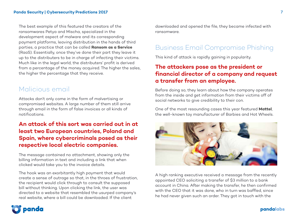The best example of this featured the creators of the ransomwares Petya and Mischa, specialized in the development aspect of malware and its corresponding payment platforms, leaving distribution in the hands of third parties, a practice that can be called **Ransom as a Service** (RaaS). Essentially, once they've done their part they leave it up to the distributers to be in charge of infecting their victims. Much like in the legal world, the distributers' profit is derived from a percentage of the money acquired. The higher the sales, the higher the percentage that they receive.

#### Malicious email

Attacks don't only come in the form of malvertising or compromised websites. A large number of them still arrive through email in the form of false invoices or all kinds of notifications.

#### **An attack of this sort was carried out in at least two European countries, Poland and Spain, where cybercriminals posed as their respective local electric companies.**

The message contained no attachment, showing only the billing information in text and including a link that when clicked would take you to the invoice details.

The hook was an exorbitantly high payment that would create a sense of outrage so that, in the throes of frustration, the recipient would click through to consult the supposed bill without thinking. Upon clicking the link, the user was directed to a website that resembled the usurped company's real website, where a bill could be downloaded. If the client

downloaded and opened the file, they became infected with ransomware.

#### Business Email Compromise Phishing

This kind of attack is rapidly gaining in popularity.

#### **The attackers pose as the president or financial director of a company and request a transfer from an employee.**

Before doing so, they learn about how the company operates from the inside and get information from their victims off of social networks to give credibility to their con.

One of the most resounding cases this year featured **Mattel**, the well-known toy manufacturer of Barbies and Hot Wheels.



A high ranking executive received a message from the recently appointed CEO soliciting a transfer of \$3 million to a bank account in China. After making the transfer, he then confirmed with the CEO that it was done, who in turn was baffled, since he had never given such an order. They got in touch with the

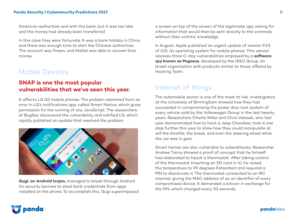American authorities and with the bank, but it was too late and the money had already been transferred.

In this case they were fortunate. It was a bank holiday in China and there was enough time to alert the Chinese authorities. The account was frozen, and Mattel was able to recover their money.

#### Mobile Devices

#### **SNAP is one the most popular vulnerabilities that we've seen this year.**

It affects LG G3 mobile phones. The problem stemmed from an error in LG's notifications app, called Smart Notice, which gives permission for the running of any JavaScript. The researchers at BugSec discovered the vulnerability and notified LG, which rapidly published an update that resolved the problem.



**Gugi, an Android trojan,** managed to break through Android 6's security barriers to steal bank credentials from apps installed on the phone. To accomplish this, Gugi superimposed

a screen on top of the screen of the legitimate app asking for information that would then be sent directly to the criminals without their victims' knowledge.

In August, Apple published an urgent update of version 9.3.5 of iOS, its operating system for mobile phones. This version resolves three 0-day vulnerabilities employed by a **software spy known as Pegasus**, developed by the NGO Group, an Israeli organization with products similar to those offered by Hacking Team.

#### Internet of things

The automobile sector is one of the most at risk. Investigators at the University of Birmingham showed how they had succeeded in compromising the power door lock system of every vehicle sold by the Volkswagen Group in the last twenty years. Researchers Charlie Miller and Chris Valasek, who last year demonstrated how to hack a Jeep Cherokee, took it one step further this year to show how they could manipulate at will the throttle, the break, and even the steering wheel while the car was in gear.

Smart homes are also vulnerable to cyberattacks. Researcher Andrew Tierny showed a proof of concept that he himself had elaborated to hijack a thermostat. After taking control of the thermostat (inserting an SD card in it), he raised the temperature to 99 degrees Fahrenheit and required a PIN to deactivate it. The thermostat connected to an IRC channel, giving the MAC address of as an identifier of every compromised device. It demanded a bitcoin in exchange for the PIN, which changed every 30 seconds.

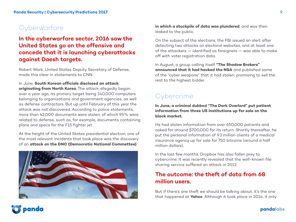### **Cyberwarfare**

#### **In the cyberwarfare sector, 2016 saw the United States go on the offensive and concede that it is launching cyberattacks against Daesh targets.**

Robert Work, United States Deputy Secretary of Defense, made this clear in statements to CNN.

In June, **South Korean officials disclosed an attack originating from North Korea**. The attack allegedly began over a year ago, its primary target being 140,000 computers belonging to organizations and government agencies, as well as defense contractors. But up until February of this year the attack was not discovered. According to police statements, more than 42,000 documents were stolen, of which 95% were related to defense, such as, for example, documents containing plans and specs for the F15 fighter jet.

At the height of the United States presidential election, one of the most relevant incidents that took place was the discovery of an **attack on the DNC (Democratic National Commettee)** 



**in which a stockpile of data was plundered**, and was then leaked to the public.

On the subject of the elections, the FBI issued an alert after detecting two attacks on electoral websites, and at least one of the attackers — identified as foreigners — was able to make off with voter registration data.

In August, a group calling itself **"The Shadow Brokers" announced that it had hacked the NSA** and published some of the "cyber weapons" that it had stolen, promising to sell the rest to the highest bidder.

### **Cybercrime**

**In June, a criminal dubbed "The Dark Overlord" put patient information from three US institutions up for sale on the black market.** 

He had stolen information from over 650,000 patients and asked for around \$700,000 for its return. Shortly thereafter, he put the personal information of 9.3 million clients of a medical insurance agency up for sale for 750 bitcoins (around a half million dollars).

In the last few months, Dropbox has also fallen prey to cybercrime. It was recently revealed that the well-known file sharing service suffered an attack in 2012.

#### **The outcome: the theft of data from 68 million users.**

But if there's one theft we should be talking about, it's the one that happened at **Yahoo**. Although it took place in 2014, it only

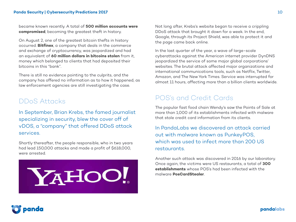became known recently. A total of **500 million accounts were compromised**, becoming the greatest theft in history.

On August 2, one of the greatest bitcoin thefts in history occurred. **Bitfinex**, a company that deals in the commerce and exchange of cryptocurrency, was jeopardized and had an equivalent of **60 million dollars in bitcoins stolen** from it, money which belonged to clients that had deposited their bitcoins in this "bank".

There is still no evidence pointing to the culprits, and the company has offered no information as to how it happened, as law enforcement agencies are still investigating the case.

### DDoS Attacks

In September, Brian Krebs, the famed journalist specializing in security, blew the cover off of vDOS, a "company" that offered DDoS attack services.

Shortly thereafter, the people responsible, who in two years had lead 150,000 attacks and made a profit of \$618,000, were arrested.



Not long after, Krebs's website began to receive a crippling DDoS attack that brought it down for a week. In the end, Google, through its Project Shield, was able to protect it and the page came back online.

In the last quarter of the year, a wave of large-scale cyberattacks against the American internet provider DynDNS jeopardized the service of some major global corporations' websites. The brutal attack affected major organizations and international communications tools, such as Netflix, Twitter, Amazon, and The New York Times. Service was interrupted for almost 11 hours, affecting more than a billion clients worldwide.

#### POS's and Credit Cards

The popular fast food chain Wendy's saw the Points of Sale at more than 1,000 of its establishments infected with malware that stole credit card information from its clients.

In PandaLabs we discovered an attack carried out with malware known as PunkeyPOS, which was used to infect more than 200 US restaurants.

Another such attack was discovered in 2016 by our laboratory. Once again, the victims were US restaurants, a total of **300 establishments** whose POS's had been infected with the malware **PosCardStealer**.

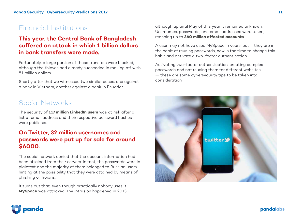### Financial Institutions

#### **This year, the Central Bank of Bangladesh suffered an attack in which 1 billion dollars in bank transfers were made.**

Fortunately, a large portion of those transfers were blocked, although the thieves had already succeeded in making off with 81 million dollars.

Shortly after that we witnessed two similar cases: one against a bank in Vietnam, another against a bank in Ecuador.

#### Social Networks

The security of **117 million LinkedIn users** was at risk after a list of email address and their respective password hashes were published.

#### **On Twitter, 32 million usernames and passwords were put up for sale for around \$6000.**

The social network denied that the account information had been attained from their servers. In fact, the passwords were in plaintext and the majority of them belonged to Russian users, hinting at the possibility that they were attained by means of phishing or Trojans.

It turns out that, even though practically nobody uses it, **MySpace** was attacked. The intrusion happened in 2013,

although up until May of this year it remained unknown. Usernames, passwords, and email addresses were taken, reaching up to **360 million affected accounts**.

A user may not have used MySpace in years, but if they are in the habit of reusing passwords, now is the time to change this habit and activate a two-factor authentication.

Activating two-factor authentication, creating complex passwords and not reusing them for different websites — these are some cybersecurity tips to be taken into consideration.



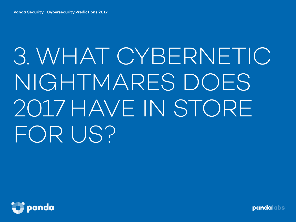# 3. WHAT CYBERNETIC NIGHTMARES DOES 2017 HAVE IN STORE FOR US?

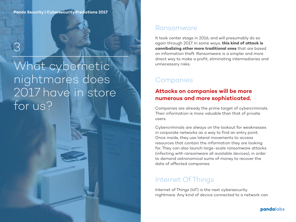3

# What cybernetic nightmares does 2017 have in store for us?

#### Ransomware

It took center stage in 2016, and will presumably do so again through 2017. In some ways, **this kind of attack is cannibalizing other more traditional ones** that are based on information theft. Ransomware is a simpler and more direct way to make a profit, eliminating intermediaries and unnecessary risks.

## Companies

#### **Attacks on companies will be more numerous and more sophisticated.**

Companies are already the prime target of cybercriminals. Their information is more valuable than that of private users.

Cybercriminals are always on the lookout for weaknesses in corporate networks as a way to find an entry point. Once inside, they use lateral movements to access resources that contain the information they are looking for. They can also launch large-scale ransomware attacks (infecting with ransomware all available devices), in order to demand astronomical sums of money to recover the data of affected companies.

### Internet Of Things

Internet of Things (IoT) is the next cybersecurity nightmare. Any kind of device connected to a network can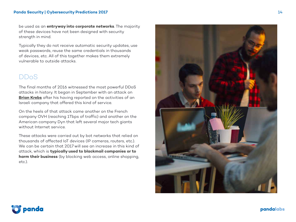be used as an **entryway into corporate networks**. The majority of these devices have not been designed with security strength in mind.

Typically they do not receive automatic security updates, use weak passwords, reuse the same credentials in thousands of devices, etc. All of this together makes them extremely vulnerable to outside attacks.

#### DDoS

The final months of 2016 witnessed the most powerful DDoS attacks in history. It began in September with an attack on **[Brian Krebs](https://krebsonsecurity.com/2016/09/the-democratization-of-censorship/)** after his having reported on the activities of an Israeli company that offered this kind of service.

On the heels of that attack came another on the French company OVH (reaching 1Tbps of traffic) and another on the American company Dyn that left several major tech giants without Internet service.

These attacks were carried out by bot networks that relied on thousands of affected IoT devices (IP cameras, routers, etc.). We can be certain that 2017 will see an increase in this kind of attack, which is **typically used to blackmail companies or to harm their business** (by blocking web access, online shopping, etc.).



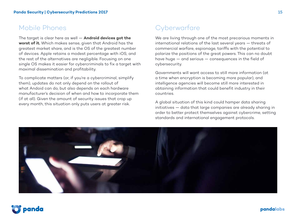#### Mobile Phones

The target is clear here as well — **Android devices got the worst of it.** Which makes sense, given that Android has the greatest market share, and is the OS of the greatest number of devices. Apple retains a modest percentage with iOS, and the rest of the alternatives are negligible. Focusing on one single OS makes it easier for cybercriminals to fix a target with maximal dissemination and profitability.

To complicate matters (or, if you're a cybercriminal, simplify them), updates do not only depend on the rollout of what Andoid can do, but also depends on each hardware manufacturer's decision of when and how to incorporate them (if at all). Given the amount of security issues that crop up every month, this situation only puts users at greater risk.

## **Cyberwarfare**

We are living through one of the most precarious moments in international relations of the last several years — threats of commercial warfare, espionage, tariffs with the potential to polarize the positions of the great powers. This can no doubt have huge — and serious — consequences in the field of cybersecurity.

Governments will want access to still more information (at a time when encryption is becoming more popular), and intelligence agencies will become still more interested in obtaining information that could benefit industry in their countries.

A global situation of this kind could hamper data sharing initiatives — data that large companies are already sharing in order to better protect themselves against cybercrime, setting standards and international engagement protocols.



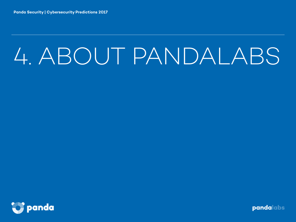# 4. ABOUT PANDALABS

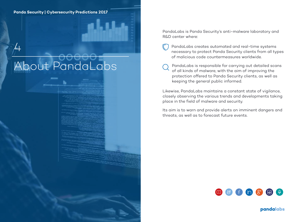$\overline{+}$ 

About PandaLabs

PandaLabs is Panda Security's anti-malware laboratory and R&D center where:

- PandaLabs creates automated and real-time systems necessary to protect Panda Security clients from all types of malicious code countermeasures worldwide.
- PandaLabs is responsible for carrying out detailed scans of all kinds of malware, with the aim of improving the protection offered to Panda Security clients, as well as keeping the general public informed.

Likewise, PandaLabs maintains a constant state of vigilance, closely observing the various trends and developments taking place in the field of malware and security.

Its aim is to warn and provide alerts on imminent dangers and threats, as well as to forecast future events.